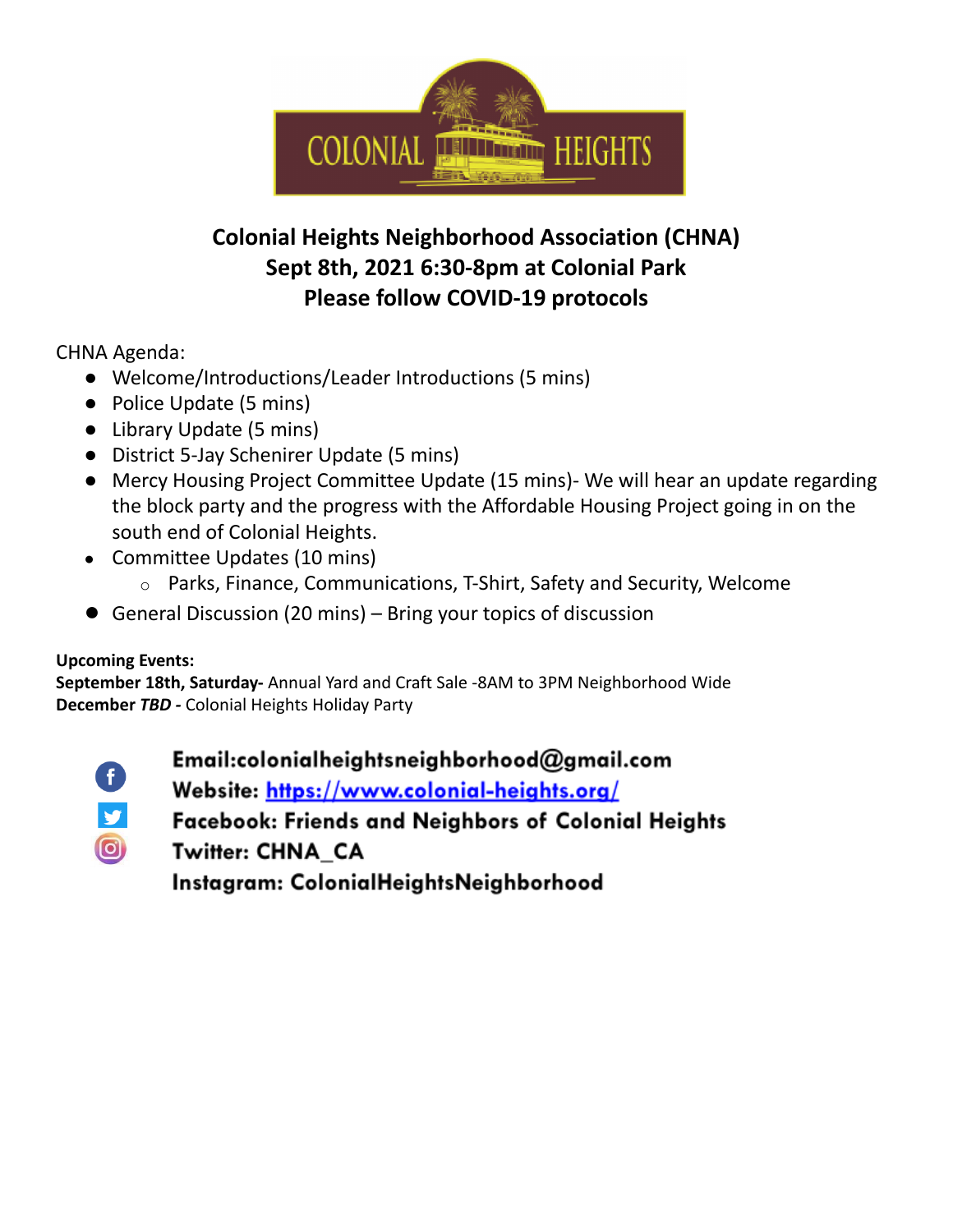

## **Colonial Heights Neighborhood Association (CHNA) Sept 8th, 2021 6:30-8pm at Colonial Park Please follow COVID-19 protocols**

CHNA Agenda:

- Welcome/Introductions/Leader Introductions (5 mins)
- Police Update (5 mins)
- Library Update (5 mins)
- District 5-Jay Schenirer Update (5 mins)
- Mercy Housing Project Committee Update (15 mins)- We will hear an update regarding the block party and the progress with the Affordable Housing Project going in on the south end of Colonial Heights.
- Committee Updates (10 mins)
	- o Parks, Finance, Communications, T-Shirt, Safety and Security, Welcome
- General Discussion (20 mins) Bring your topics of discussion

### **Upcoming Events:**

**September 18th, Saturday-** Annual Yard and Craft Sale -8AM to 3PM Neighborhood Wide **December** *TBD -* Colonial Heights Holiday Party

Ð  $\bigcirc$  Email:colonialheightsneighborhood@gmail.com

Website: https://www.colonial-heights.org/

**Facebook: Friends and Neighbors of Colonial Heights** 

Twitter: CHNA\_CA

Instagram: ColonialHeightsNeighborhood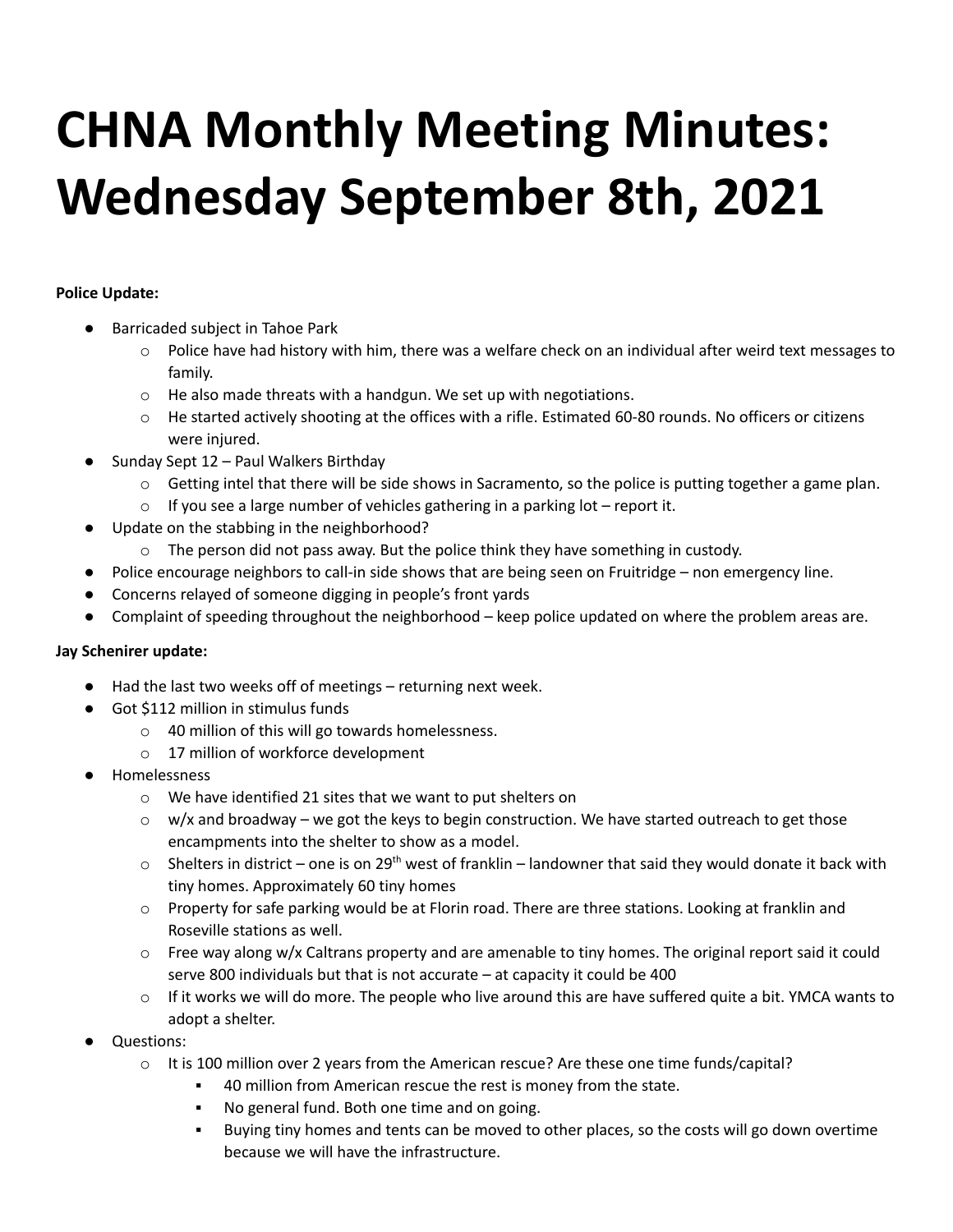# **CHNA Monthly Meeting Minutes: Wednesday September 8th, 2021**

#### **Police Update:**

- Barricaded subject in Tahoe Park
	- $\circ$  Police have had history with him, there was a welfare check on an individual after weird text messages to family.
	- o He also made threats with a handgun. We set up with negotiations.
	- o He started actively shooting at the offices with a rifle. Estimated 60-80 rounds. No officers or citizens were injured.
- Sunday Sept 12 Paul Walkers Birthday
	- $\circ$  Getting intel that there will be side shows in Sacramento, so the police is putting together a game plan.
	- $\circ$  If you see a large number of vehicles gathering in a parking lot report it.
- Update on the stabbing in the neighborhood?
	- $\circ$  The person did not pass away. But the police think they have something in custody.
- Police encourage neighbors to call-in side shows that are being seen on Fruitridge non emergency line.
- Concerns relayed of someone digging in people's front yards
- Complaint of speeding throughout the neighborhood keep police updated on where the problem areas are.

#### **Jay Schenirer update:**

- Had the last two weeks off of meetings returning next week.
- Got \$112 million in stimulus funds
	- o 40 million of this will go towards homelessness.
	- o 17 million of workforce development
- Homelessness
	- o We have identified 21 sites that we want to put shelters on
	- $\circ$  w/x and broadway we got the keys to begin construction. We have started outreach to get those encampments into the shelter to show as a model.
	- $\circ$  Shelters in district one is on 29<sup>th</sup> west of franklin landowner that said they would donate it back with tiny homes. Approximately 60 tiny homes
	- $\circ$  Property for safe parking would be at Florin road. There are three stations. Looking at franklin and Roseville stations as well.
	- $\circ$  Free way along w/x Caltrans property and are amenable to tiny homes. The original report said it could serve 800 individuals but that is not accurate – at capacity it could be 400
	- $\circ$  If it works we will do more. The people who live around this are have suffered quite a bit. YMCA wants to adopt a shelter.
- Questions:
	- $\circ$  It is 100 million over 2 years from the American rescue? Are these one time funds/capital?
		- 40 million from American rescue the rest is money from the state.
		- No general fund. Both one time and on going.
		- Buying tiny homes and tents can be moved to other places, so the costs will go down overtime because we will have the infrastructure.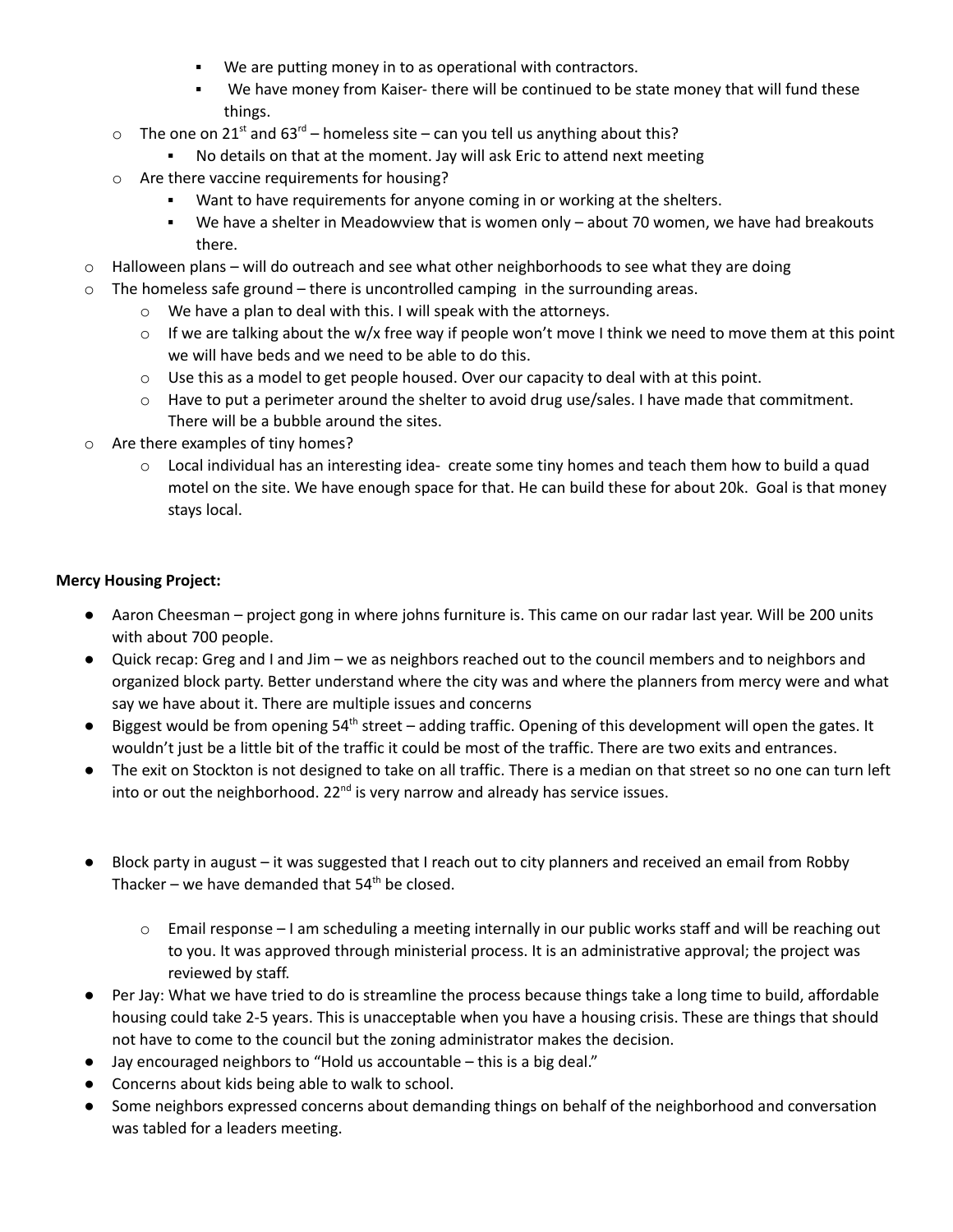- We are putting money in to as operational with contractors.
- We have money from Kaiser- there will be continued to be state money that will fund these things.
- $\circ$  The one on 21<sup>st</sup> and 63<sup>rd</sup> homeless site can you tell us anything about this?
	- No details on that at the moment. Jay will ask Eric to attend next meeting
- o Are there vaccine requirements for housing?
	- Want to have requirements for anyone coming in or working at the shelters.
	- We have a shelter in Meadowview that is women only about 70 women, we have had breakouts there.
- $\circ$  Halloween plans will do outreach and see what other neighborhoods to see what they are doing
- $\circ$  The homeless safe ground there is uncontrolled camping in the surrounding areas.
	- o We have a plan to deal with this. I will speak with the attorneys.
	- $\circ$  If we are talking about the w/x free way if people won't move I think we need to move them at this point we will have beds and we need to be able to do this.
	- $\circ$  Use this as a model to get people housed. Over our capacity to deal with at this point.
	- $\circ$  Have to put a perimeter around the shelter to avoid drug use/sales. I have made that commitment. There will be a bubble around the sites.
- o Are there examples of tiny homes?
	- $\circ$  Local individual has an interesting idea- create some tiny homes and teach them how to build a quad motel on the site. We have enough space for that. He can build these for about 20k. Goal is that money stays local.

#### **Mercy Housing Project:**

- Aaron Cheesman project gong in where johns furniture is. This came on our radar last year. Will be 200 units with about 700 people.
- Quick recap: Greg and I and Jim we as neighbors reached out to the council members and to neighbors and organized block party. Better understand where the city was and where the planners from mercy were and what say we have about it. There are multiple issues and concerns
- Biggest would be from opening 54<sup>th</sup> street adding traffic. Opening of this development will open the gates. It wouldn't just be a little bit of the traffic it could be most of the traffic. There are two exits and entrances.
- The exit on Stockton is not designed to take on all traffic. There is a median on that street so no one can turn left into or out the neighborhood.  $22<sup>nd</sup>$  is very narrow and already has service issues.
- Block party in august it was suggested that I reach out to city planners and received an email from Robby Thacker – we have demanded that  $54<sup>th</sup>$  be closed.
	- o Email response I am scheduling a meeting internally in our public works staff and will be reaching out to you. It was approved through ministerial process. It is an administrative approval; the project was reviewed by staff.
- Per Jay: What we have tried to do is streamline the process because things take a long time to build, affordable housing could take 2-5 years. This is unacceptable when you have a housing crisis. These are things that should not have to come to the council but the zoning administrator makes the decision.
- Jay encouraged neighbors to "Hold us accountable this is a big deal."
- Concerns about kids being able to walk to school.
- Some neighbors expressed concerns about demanding things on behalf of the neighborhood and conversation was tabled for a leaders meeting.